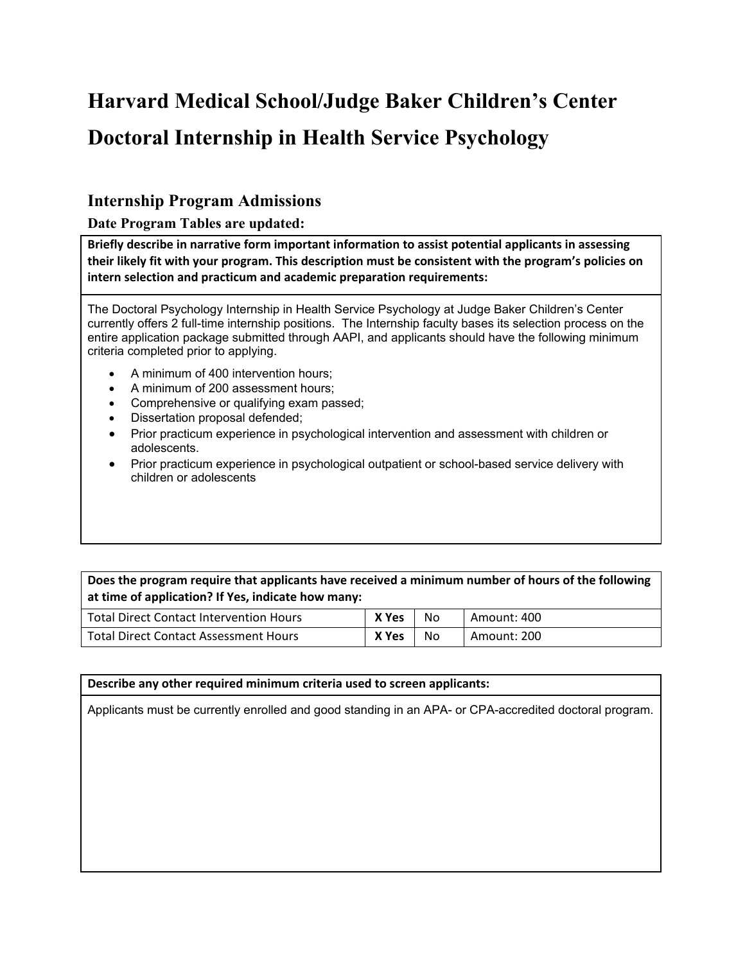# **Harvard Medical School/Judge Baker Children's Center Doctoral Internship in Health Service Psychology**

## **Internship Program Admissions**

**Date Program Tables are updated:** 

**Briefly describe in narrative form important information to assist potential applicants in assessing their likely fit with your program. This description must be consistent with the program's policies on intern selection and practicum and academic preparation requirements:**

The Doctoral Psychology Internship in Health Service Psychology at Judge Baker Children's Center currently offers 2 full-time internship positions. The Internship faculty bases its selection process on the entire application package submitted through AAPI, and applicants should have the following minimum criteria completed prior to applying.

- A minimum of 400 intervention hours;
- A minimum of 200 assessment hours;
- Comprehensive or qualifying exam passed;
- Dissertation proposal defended;
- Prior practicum experience in psychological intervention and assessment with children or adolescents.
- Prior practicum experience in psychological outpatient or school-based service delivery with children or adolescents

#### **Does the program require that applicants have received a minimum number of hours of the following at time of application? If Yes, indicate how many:**

| <b>Total Direct Contact Intervention Hours</b> | X Yes | No | Amount: 400 |
|------------------------------------------------|-------|----|-------------|
| <b>Total Direct Contact Assessment Hours</b>   | X Yes | Νo | Amount: 200 |

#### **Describe any other required minimum criteria used to screen applicants:**

Applicants must be currently enrolled and good standing in an APA- or CPA-accredited doctoral program.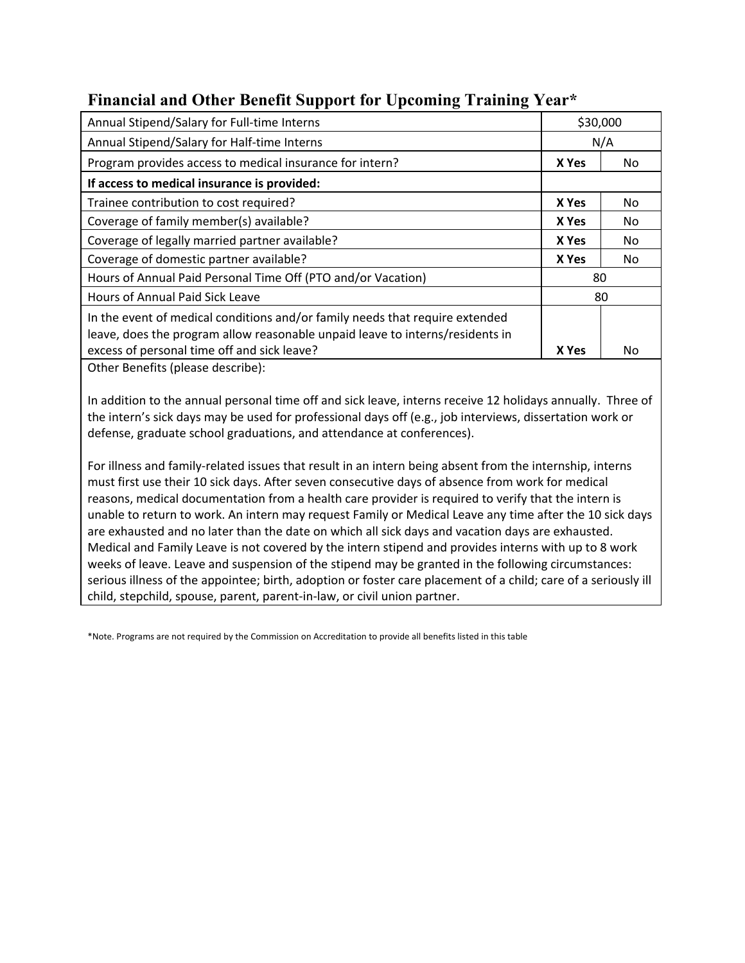| Annual Stipend/Salary for Full-time Interns                                   |       | \$30,000 |  |
|-------------------------------------------------------------------------------|-------|----------|--|
| Annual Stipend/Salary for Half-time Interns                                   |       | N/A      |  |
| Program provides access to medical insurance for intern?                      | X Yes | No.      |  |
| If access to medical insurance is provided:                                   |       |          |  |
| Trainee contribution to cost required?                                        | X Yes | No.      |  |
| Coverage of family member(s) available?                                       | X Yes | No.      |  |
| Coverage of legally married partner available?                                | X Yes | No.      |  |
| Coverage of domestic partner available?                                       | X Yes | No.      |  |
| Hours of Annual Paid Personal Time Off (PTO and/or Vacation)                  | 80    |          |  |
| Hours of Annual Paid Sick Leave                                               |       | 80       |  |
| In the event of medical conditions and/or family needs that require extended  |       |          |  |
| leave, does the program allow reasonable unpaid leave to interns/residents in |       |          |  |
| excess of personal time off and sick leave?                                   | X Yes | No       |  |
| Other Dens fits futures also suited                                           |       |          |  |

### **Financial and Other Benefit Support for Upcoming Training Year\***

Other Benefits (please describe):

In addition to the annual personal time off and sick leave, interns receive 12 holidays annually. Three of the intern's sick days may be used for professional days off (e.g., job interviews, dissertation work or defense, graduate school graduations, and attendance at conferences).

For illness and family-related issues that result in an intern being absent from the internship, interns must first use their 10 sick days. After seven consecutive days of absence from work for medical reasons, medical documentation from a health care provider is required to verify that the intern is unable to return to work. An intern may request Family or Medical Leave any time after the 10 sick days are exhausted and no later than the date on which all sick days and vacation days are exhausted. Medical and Family Leave is not covered by the intern stipend and provides interns with up to 8 work weeks of leave. Leave and suspension of the stipend may be granted in the following circumstances: serious illness of the appointee; birth, adoption or foster care placement of a child; care of a seriously ill child, stepchild, spouse, parent, parent-in-law, or civil union partner.

\*Note. Programs are not required by the Commission on Accreditation to provide all benefits listed in this table